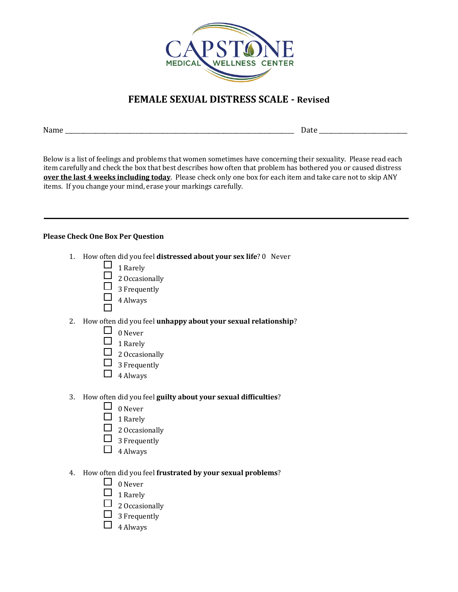

# **FEMALE SEXUAL DISTRESS SCALE - Revised**

Name \_\_\_\_\_\_\_\_\_\_\_\_\_\_\_\_\_\_\_\_\_\_\_\_\_\_\_\_\_\_\_\_\_\_\_\_\_\_\_\_\_\_\_\_\_\_\_\_\_\_\_\_\_\_\_\_\_\_\_\_\_\_\_\_\_\_\_\_\_\_\_\_\_\_\_ Date \_\_\_\_\_\_\_\_\_\_\_\_\_\_\_\_\_\_\_\_\_\_\_\_\_\_\_\_\_

Below is a list of feelings and problems that women sometimes have concerning their sexuality. Please read each item carefully and check the box that best describes how often that problem has bothered you or caused distress **over the last 4 weeks including today**. Please check only one box for each item and take care not to skip ANY items. If you change your mind, erase your markings carefully.

#### **Please Check One Box Per Question**

- 1. How often did you feel **distressed about your sex life**? 0 Never
	- $\Box$  1 Rarely
	- $\Box$  2 Occasionally
	- $\Box$  3 Frequently
	- $\Box$  4 Always
- 2. How often did you feel **unhappy about your sexual relationship**?
	- $\Box$  0 Never
	- $\Box$  1 Rarely
	- $\Box$  2 Occasionally
	- $\Box$  3 Frequently
	- $\Box$  4 Always
- 3. How often did you feel **guilty about your sexual difficulties**?
	- $\Box$  0 Never
	- $\Box$  1 Rarely
	- $\Box$  2 Occasionally
	- $\Box$  3 Frequently
	- $\Box$  4 Always
- 4. How often did you feel **frustrated by your sexual problems**?
	- $\Box$  0 Never
	- $\Box$  1 Rarely
	- $\Box$  2 Occasionally
	- $\Box$  3 Frequently
	- $\Box$  4 Always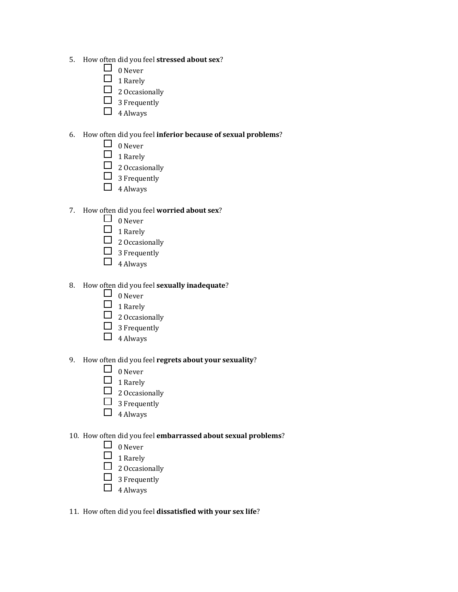- 5. How often did you feel **stressed about sex**?
	- $\Box$  0 Never
	- $\Box$  1 Rarely
	- $\Box$  2 Occasionally
	- $\Box$  3 Frequently
	- $\Box$  4 Always

#### 6. How often did you feel **inferior because of sexual problems**?

- $\Box$  0 Never
- $\Box$  1 Rarely
- $\Box$  2 Occasionally
- $\Box$  3 Frequently
- $\Box$  4 Always

### 7. How often did you feel **worried about sex**?

- $\Box$  0 Never
- $\Box$  1 Rarely
- $\Box$  2 Occasionally
- $\Box$  3 Frequently
- $\Box$  4 Always

## 8. How often did you feel **sexually inadequate**?

- $\Box$  0 Never
- $\Box$  1 Rarely
- $\Box$  2 Occasionally
- $\Box$  3 Frequently
- $\Box$  4 Always

#### 9. How often did you feel **regrets about your sexuality**?

- $\Box$  0 Never
- $\Box$  1 Rarely
- $\Box$  2 Occasionally
- $\Box$  3 Frequently
- $\Box$  4 Always

#### 10. How often did you feel **embarrassed about sexual problems**?

- $\Box$  0 Never
- $\Box$  1 Rarely
- $\Box$  2 Occasionally
- $\Box$  3 Frequently
- $\Box$  4 Always

#### 11. How often did you feel **dissatisfied with your sex life**?